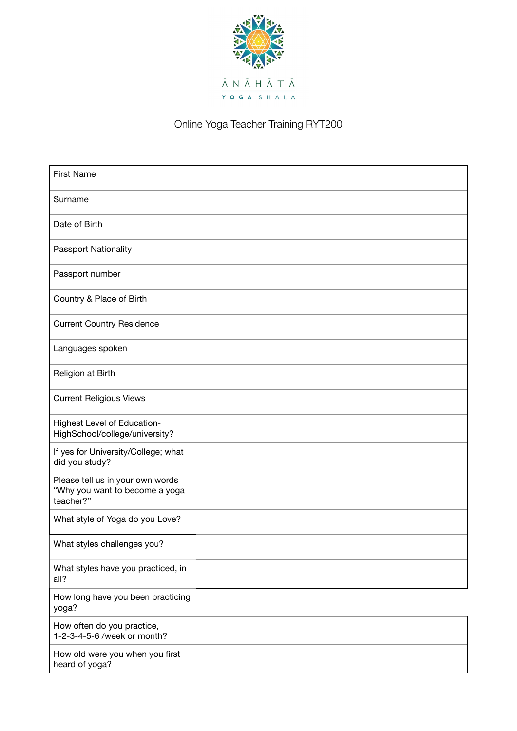

Online Yoga Teacher Training RYT200

| <b>First Name</b>                                                               |  |
|---------------------------------------------------------------------------------|--|
| Surname                                                                         |  |
| Date of Birth                                                                   |  |
| Passport Nationality                                                            |  |
| Passport number                                                                 |  |
| Country & Place of Birth                                                        |  |
| <b>Current Country Residence</b>                                                |  |
| Languages spoken                                                                |  |
| Religion at Birth                                                               |  |
| <b>Current Religious Views</b>                                                  |  |
| Highest Level of Education-<br>HighSchool/college/university?                   |  |
| If yes for University/College; what<br>did you study?                           |  |
| Please tell us in your own words<br>"Why you want to become a yoga<br>teacher?" |  |
| What style of Yoga do you Love?                                                 |  |
| What styles challenges you?                                                     |  |
| What styles have you practiced, in<br>all?                                      |  |
| How long have you been practicing<br>yoga?                                      |  |
| How often do you practice,<br>1-2-3-4-5-6 /week or month?                       |  |
| How old were you when you first<br>heard of yoga?                               |  |